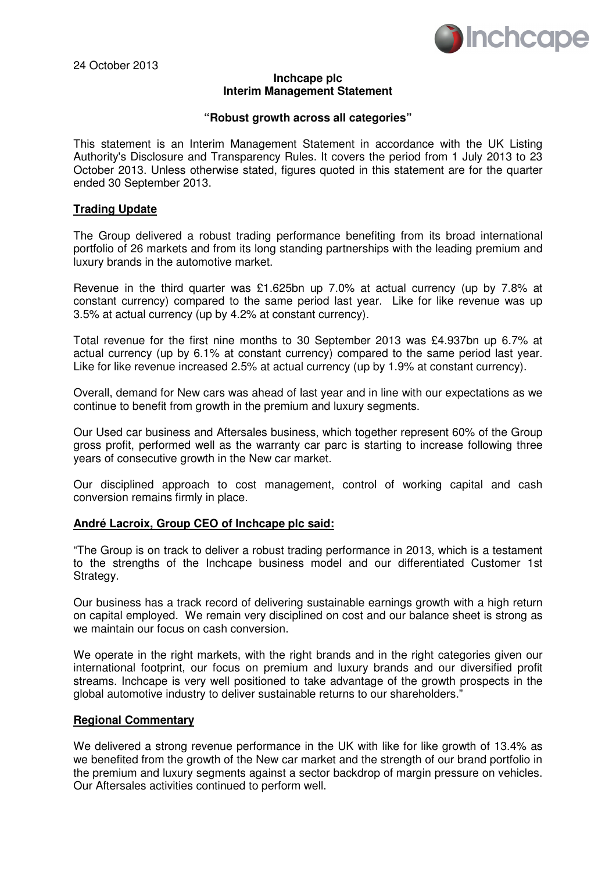

24 October 2013

#### **Inchcape plc Interim Management Statement**

#### **"Robust growth across all categories"**

This statement is an Interim Management Statement in accordance with the UK Listing Authority's Disclosure and Transparency Rules. It covers the period from 1 July 2013 to 23 October 2013. Unless otherwise stated, figures quoted in this statement are for the quarter ended 30 September 2013.

## **Trading Update**

The Group delivered a robust trading performance benefiting from its broad international portfolio of 26 markets and from its long standing partnerships with the leading premium and luxury brands in the automotive market.

Revenue in the third quarter was £1.625bn up 7.0% at actual currency (up by 7.8% at constant currency) compared to the same period last year. Like for like revenue was up 3.5% at actual currency (up by 4.2% at constant currency).

Total revenue for the first nine months to 30 September 2013 was £4.937bn up 6.7% at actual currency (up by 6.1% at constant currency) compared to the same period last year. Like for like revenue increased 2.5% at actual currency (up by 1.9% at constant currency).

Overall, demand for New cars was ahead of last year and in line with our expectations as we continue to benefit from growth in the premium and luxury segments.

Our Used car business and Aftersales business, which together represent 60% of the Group gross profit, performed well as the warranty car parc is starting to increase following three years of consecutive growth in the New car market.

Our disciplined approach to cost management, control of working capital and cash conversion remains firmly in place.

## **André Lacroix, Group CEO of Inchcape plc said:**

"The Group is on track to deliver a robust trading performance in 2013, which is a testament to the strengths of the Inchcape business model and our differentiated Customer 1st Strategy.

Our business has a track record of delivering sustainable earnings growth with a high return on capital employed. We remain very disciplined on cost and our balance sheet is strong as we maintain our focus on cash conversion.

We operate in the right markets, with the right brands and in the right categories given our international footprint, our focus on premium and luxury brands and our diversified profit streams. Inchcape is very well positioned to take advantage of the growth prospects in the global automotive industry to deliver sustainable returns to our shareholders."

## **Regional Commentary**

We delivered a strong revenue performance in the UK with like for like growth of 13.4% as we benefited from the growth of the New car market and the strength of our brand portfolio in the premium and luxury segments against a sector backdrop of margin pressure on vehicles. Our Aftersales activities continued to perform well.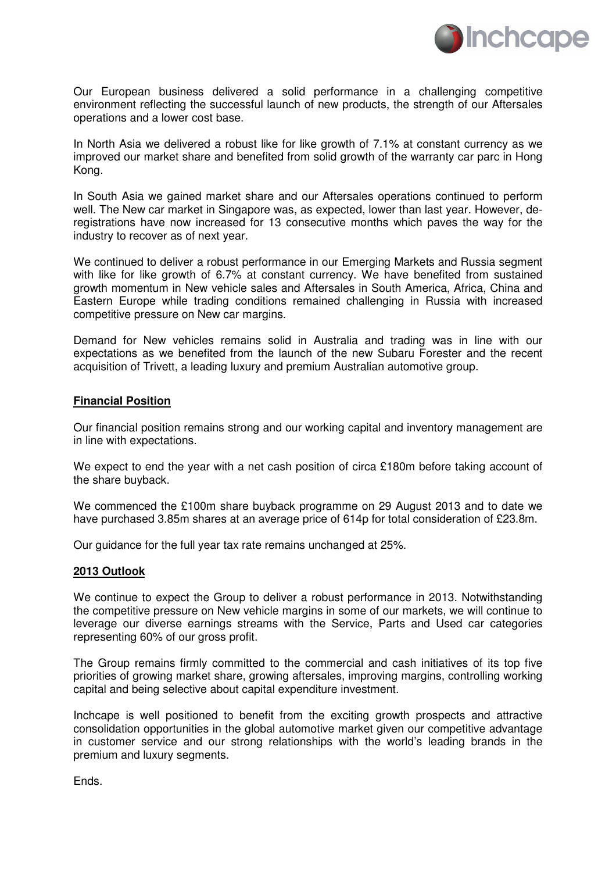

Our European business delivered a solid performance in a challenging competitive environment reflecting the successful launch of new products, the strength of our Aftersales operations and a lower cost base.

In North Asia we delivered a robust like for like growth of 7.1% at constant currency as we improved our market share and benefited from solid growth of the warranty car parc in Hong Kong.

In South Asia we gained market share and our Aftersales operations continued to perform well. The New car market in Singapore was, as expected, lower than last year. However, deregistrations have now increased for 13 consecutive months which paves the way for the industry to recover as of next year.

We continued to deliver a robust performance in our Emerging Markets and Russia segment with like for like growth of 6.7% at constant currency. We have benefited from sustained growth momentum in New vehicle sales and Aftersales in South America, Africa, China and Eastern Europe while trading conditions remained challenging in Russia with increased competitive pressure on New car margins.

Demand for New vehicles remains solid in Australia and trading was in line with our expectations as we benefited from the launch of the new Subaru Forester and the recent acquisition of Trivett, a leading luxury and premium Australian automotive group.

## **Financial Position**

Our financial position remains strong and our working capital and inventory management are in line with expectations.

We expect to end the year with a net cash position of circa £180m before taking account of the share buyback.

We commenced the £100m share buyback programme on 29 August 2013 and to date we have purchased 3.85m shares at an average price of 614p for total consideration of £23.8m.

Our guidance for the full year tax rate remains unchanged at 25%.

## **2013 Outlook**

We continue to expect the Group to deliver a robust performance in 2013. Notwithstanding the competitive pressure on New vehicle margins in some of our markets, we will continue to leverage our diverse earnings streams with the Service, Parts and Used car categories representing 60% of our gross profit.

The Group remains firmly committed to the commercial and cash initiatives of its top five priorities of growing market share, growing aftersales, improving margins, controlling working capital and being selective about capital expenditure investment.

Inchcape is well positioned to benefit from the exciting growth prospects and attractive consolidation opportunities in the global automotive market given our competitive advantage in customer service and our strong relationships with the world's leading brands in the premium and luxury segments.

Ends.